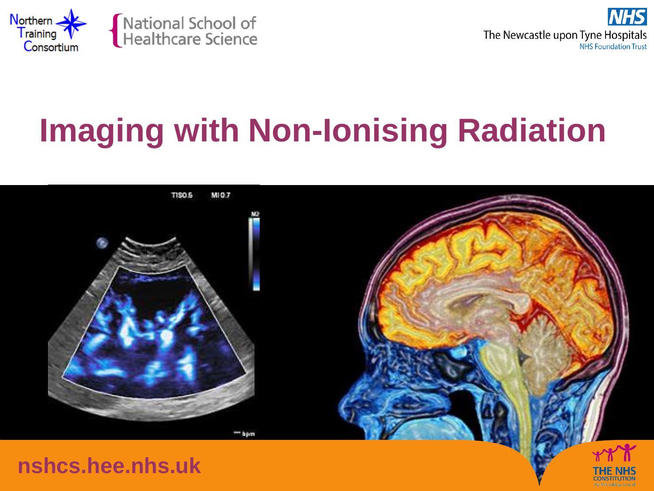



# **Imaging with Non-Ionising Radiation**

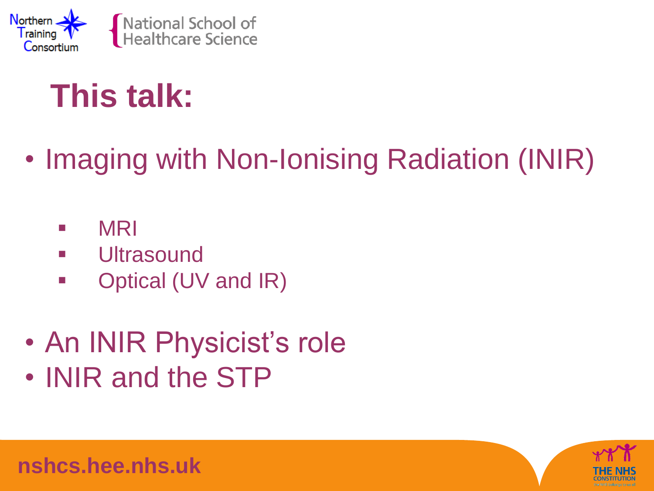

#### **This talk:**

#### • Imaging with Non-Ionising Radiation (INIR)

- MRI
- **ultrasound**
- **Dependical (UV and IR)**
- An INIR Physicist's role • INIR and the STP

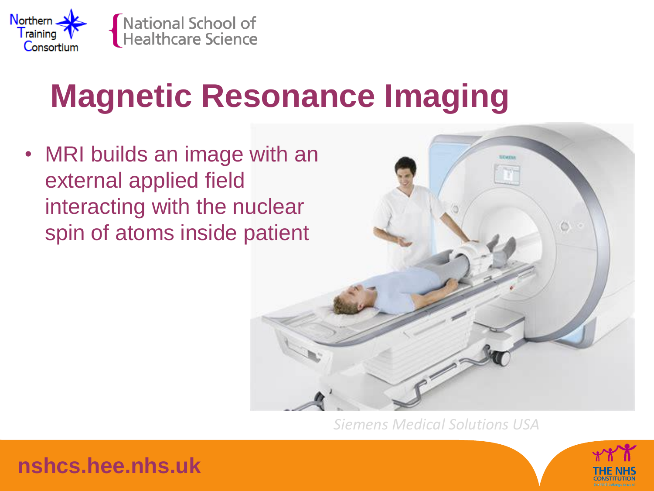

### **Magnetic Resonance Imaging**

• MRI builds an image with an external applied field interacting with the nuclear spin of atoms inside patient



*Siemens Medical Solutions USA*



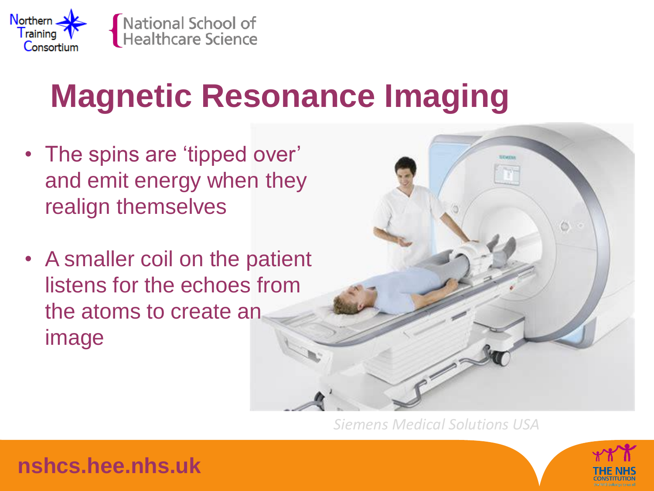

### **Magnetic Resonance Imaging**

- The spins are 'tipped over' and emit energy when they realign themselves
- A smaller coil on the patient listens for the echoes from the atoms to create an image



*Siemens Medical Solutions USA*



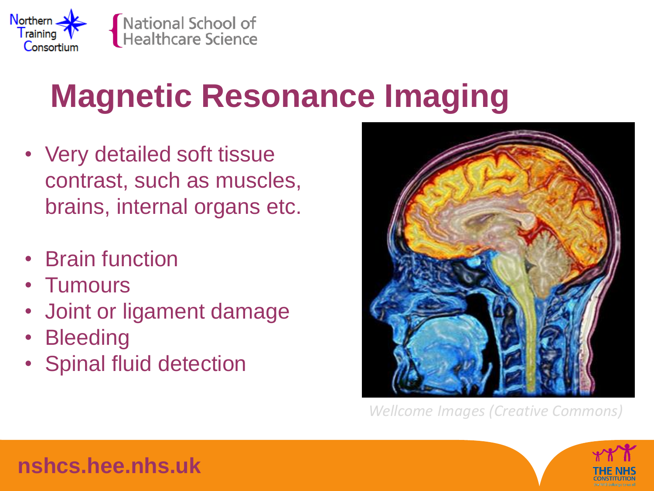

# **Magnetic Resonance Imaging**

- Very detailed soft tissue contrast, such as muscles, brains, internal organs etc.
- Brain function
- Tumours
- Joint or ligament damage
- **Bleeding**
- Spinal fluid detection



*Wellcome Images (Creative Commons)*



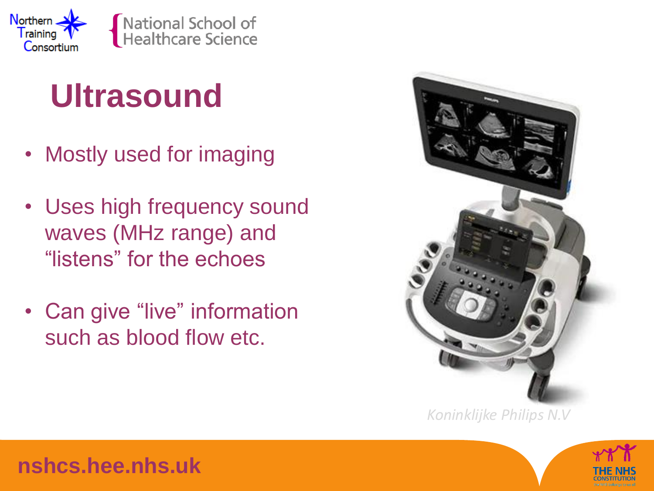

#### **Ultrasound**

- Mostly used for imaging
- Uses high frequency sound waves (MHz range) and "listens" for the echoes
- Can give "live" information such as blood flow etc.



*Koninklijke Philips N.V*

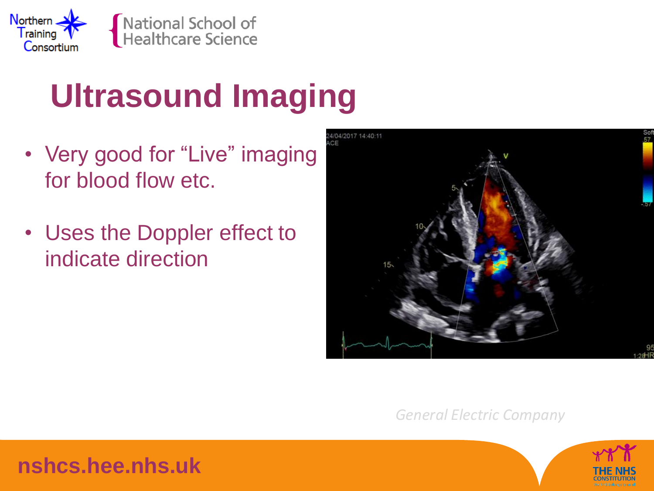

## **Ultrasound Imaging**

- Very good for "Live" imaging for blood flow etc.
- Uses the Doppler effect to indicate direction



*General Electric Company*

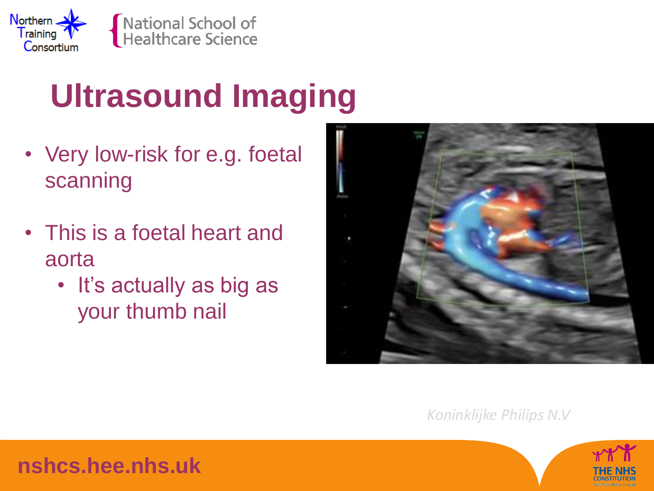

# **Ultrasound Imaging**

- Very low-risk for e.g. foetal scanning
- This is a foetal heart and aorta
	- It's actually as big as your thumb nail



*Koninklijke Philips N.V*

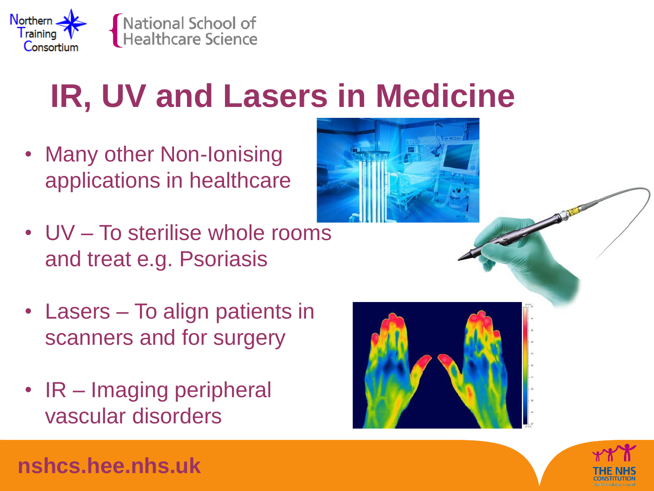

#### **IR, UV and Lasers in Medicine**

- Many other Non-Ionising applications in healthcare
- UV To sterilise whole rooms and treat e.g. Psoriasis
- Lasers To align patients in scanners and for surgery
- IR Imaging peripheral vascular disorders

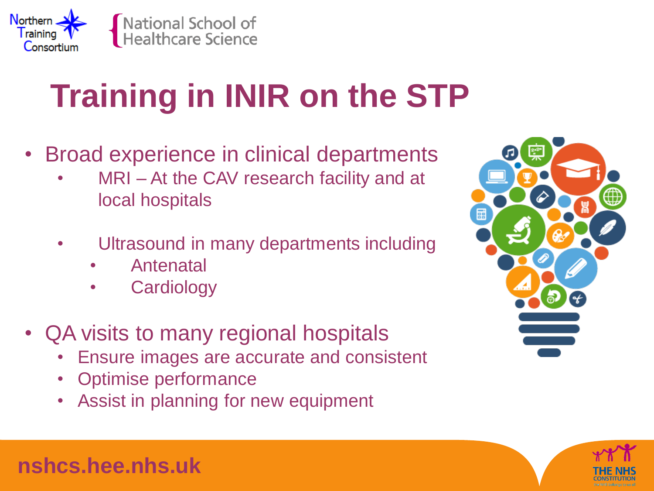

# **Training in INIR on the STP**

- Broad experience in clinical departments
	- MRI At the CAV research facility and at local hospitals
	- Ultrasound in many departments including
		- Antenatal
		- **Cardiology**
- QA visits to many regional hospitals
	- Ensure images are accurate and consistent
	- Optimise performance
	- Assist in planning for new equipment



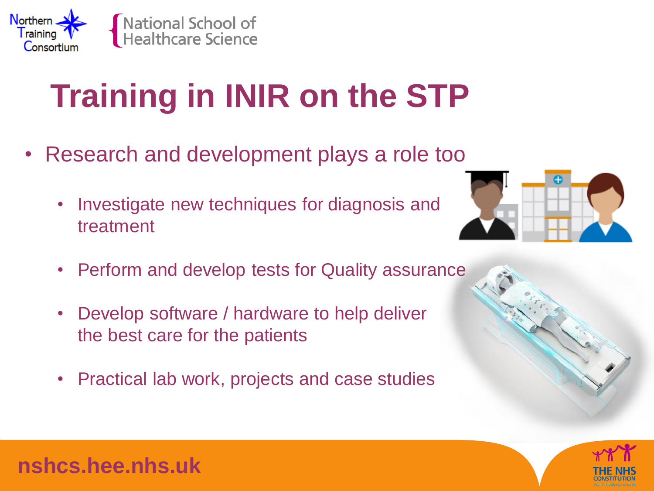

# **Training in INIR on the STP**

- Research and development plays a role too
	- Investigate new techniques for diagnosis and treatment



- Perform and develop tests for Quality assurance
- Develop software / hardware to help deliver the best care for the patients
- Practical lab work, projects and case studies